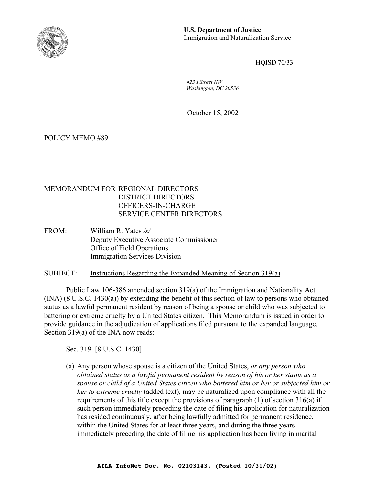

HQISD 70/33

*425 I Street NW Washington, DC 20536*

October 15, 2002

POLICY MEMO #89

### MEMORANDUM FOR REGIONAL DIRECTORS DISTRICT DIRECTORS OFFICERS-IN-CHARGE SERVICE CENTER DIRECTORS

FROM: William R. Yates */s/*  Deputy Executive Associate Commissioner Office of Field Operations Immigration Services Division

SUBJECT: Instructions Regarding the Expanded Meaning of Section 319(a)

Public Law 106-386 amended section 319(a) of the Immigration and Nationality Act (INA) (8 U.S.C. 1430(a)) by extending the benefit of this section of law to persons who obtained status as a lawful permanent resident by reason of being a spouse or child who was subjected to battering or extreme cruelty by a United States citizen. This Memorandum is issued in order to provide guidance in the adjudication of applications filed pursuant to the expanded language. Section 319(a) of the INA now reads:

Sec. 319. [8 U.S.C. 1430]

(a) Any person whose spouse is a citizen of the United States, *or any person who obtained status as a lawful permanent resident by reason of his or her status as a spouse or child of a United States citizen who battered him or her or subjected him or her to extreme cruelty* (added text), may be naturalized upon compliance with all the requirements of this title except the provisions of paragraph (1) of section 316(a) if such person immediately preceding the date of filing his application for naturalization has resided continuously, after being lawfully admitted for permanent residence, within the United States for at least three years, and during the three years immediately preceding the date of filing his application has been living in marital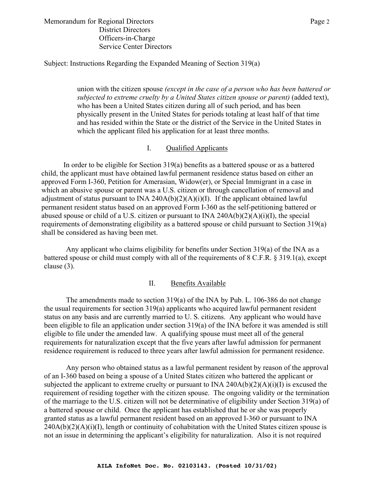#### Memorandum for Regional Directors **Page 2** Page 2 District Directors Officers-in-Charge Service Center Directors

Subject: Instructions Regarding the Expanded Meaning of Section 319(a)

union with the citizen spouse *(except in the case of a person who has been battered or subjected to extreme cruelty by a United States citizen spouse or parent)* (added text), who has been a United States citizen during all of such period, and has been physically present in the United States for periods totaling at least half of that time and has resided within the State or the district of the Service in the United States in which the applicant filed his application for at least three months.

# I. Qualified Applicants

In order to be eligible for Section 319(a) benefits as a battered spouse or as a battered child, the applicant must have obtained lawful permanent residence status based on either an approved Form I-360, Petition for Amerasian, Widow(er), or Special Immigrant in a case in which an abusive spouse or parent was a U.S. citizen or through cancellation of removal and adjustment of status pursuant to INA 240A(b)(2)(A)(i)(I). If the applicant obtained lawful permanent resident status based on an approved Form I-360 as the self-petitioning battered or abused spouse or child of a U.S. citizen or pursuant to INA  $240A(b)(2)(A)(i)(I)$ , the special requirements of demonstrating eligibility as a battered spouse or child pursuant to Section 319(a) shall be considered as having been met.

Any applicant who claims eligibility for benefits under Section 319(a) of the INA as a battered spouse or child must comply with all of the requirements of 8 C.F.R. § 319.1(a), except clause (3).

# II. Benefits Available

The amendments made to section 319(a) of the INA by Pub. L. 106-386 do not change the usual requirements for section 319(a) applicants who acquired lawful permanent resident status on any basis and are currently married to U. S. citizens. Any applicant who would have been eligible to file an application under section 319(a) of the INA before it was amended is still eligible to file under the amended law. A qualifying spouse must meet all of the general requirements for naturalization except that the five years after lawful admission for permanent residence requirement is reduced to three years after lawful admission for permanent residence.

Any person who obtained status as a lawful permanent resident by reason of the approval of an I-360 based on being a spouse of a United States citizen who battered the applicant or subjected the applicant to extreme cruelty or pursuant to INA 240A(b)(2)(A)(i)(I) is excused the requirement of residing together with the citizen spouse. The ongoing validity or the termination of the marriage to the U.S. citizen will not be determinative of eligibility under Section 319(a) of a battered spouse or child. Once the applicant has established that he or she was properly granted status as a lawful permanent resident based on an approved I-360 or pursuant to INA  $240A(b)(2)(A)(i)(I)$ , length or continuity of cohabitation with the United States citizen spouse is not an issue in determining the applicant's eligibility for naturalization. Also it is not required